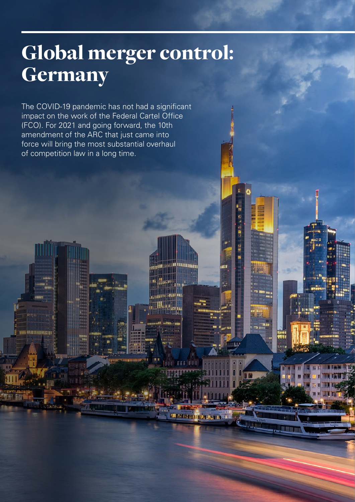# Global merger control: Germany

**THE REAL PROPERTY** 

.<br>Hit

**LLATER** 

**ALASHET** 

The COVID-19 pandemic has not had a significant impact on the work of the Federal Cartel Office (FCO). For 2021 and going forward, the 10th amendment of the ARC that just came into force will bring the most substantial overhaul of competition law in a long time.

w **wantu ta sa sa sa**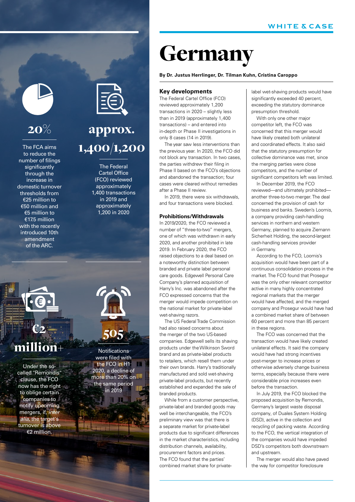## Germany

### **By Dr. Justus Herrlinger, Dr. Tilman Kuhn, Cristina Caroppo**

### **Key developments**

The Federal Cartel Office (FCO) reviewed approximately 1,200 transactions in 2020 – slightly less than in 2019 (approximately 1,400 transactions) – and entered into in-depth or Phase II investigations in only 8 cases (14 in 2019).

The year saw less interventions than the previous year. In 2020, the FCO did not block any transaction. In two cases, the parties withdrew their filing in Phase II based on the FCO's objections and abandoned the transaction; four cases were cleared without remedies after a Phase II review.

In 2019, there were six withdrawals, and four transactions were blocked.

### **Prohibitions/Withdrawals**

In 2019/2020, the FCO reviewed a number of "three-to-two" mergers, one of which was withdrawn in early 2020, and another prohibited in late 2019. In February 2020, the FCO raised objections to a deal based on a noteworthy distinction between branded and private label personal care goods. Edgewell Personal Care Company's planned acquisition of Harry's Inc. was abandoned after the FCO expressed concerns that the merger would impede competition on the national market for private-label wet-shaving razors.

The US Federal Trade Commission had also raised concerns about the merger of the two US-based companies. Edgewell sells its shaving products under the Wilkinson Sword brand and as private-label products to retailers, which resell them under their own brands. Harry's traditionally manufactured and sold wet-shaving private-label products, but recently established and expanded the sale of branded products.

While from a customer perspective, private-label and branded goods may well be interchangeable, the FCO's preliminary view was that there is a separate market for private-label products due to significant differences in the market characteristics, including distribution channels, availability, procurement factors and prices. The FCO found that the parties' combined market share for private-

label wet-shaving products would have significantly exceeded 40 percent, exceeding the statutory dominance presumption threshold.

With only one other major competitor left, the FCO was concerned that this merger would have likely created both unilateral and coordinated effects. It also said that the statutory presumption for collective dominance was met, since the merging parties were close competitors, and the number of significant competitors left was limited.

In December 2019, the FCO reviewed—and ultimately prohibited another three-to-two merger. The deal concerned the provision of cash for business and banks. Sweden's Loomis, a company providing cash-handling services in northern and western Germany, planned to acquire Ziemann Sicherheit Holding, the second-largest cash-handling services provider in Germany.

According to the FCO, Loomis's acquisition would have been part of a continuous consolidation process in the market. The FCO found that Prosegur was the only other relevant competitor active in many highly concentrated regional markets that the merger would have affected, and the merged company and Prosegur would have had a combined market share of between 60 percent and more than 85 percent in these regions.

The FCO was concerned that the transaction would have likely created unilateral effects. It said the company would have had strong incentives post-merger to increase prices or otherwise adversely change business terms, especially because there were considerable price increases even before the transaction.

In July 2019, the FCO blocked the proposed acquisition by Remondis, Germany's largest waste disposal company, of Duales System Holding (DSD), active in the collection and recycling of packing waste. According to the FCO, the vertical integration of the companies would have impeded DSD's competitors both downstream and upstream.

The merger would also have paved the way for competitor foreclosure



## $20%$

The FCA aims to reduce the number of filings significantly through the increase in domestic turnover thresholds from €25 million to €50 million and €5 million to €17.5 million with the recently introduced 10th amendment of the ARC.



## approx. 1,400/1,200

The Federal Cartel Office (FCO) reviewed approximately 1,400 transactions in 2019 and approximately 1,200 in 2020



## million+

Under the socalled "Remondis" clause, the FCO now has the right to oblige certain companies to notify upcoming mergers, if, *inter alia*, the target's turnover is above €2 million.

Notifications were filed with the FCO in H1 m 2020, a decline of more than 20% on the same period in 2019

505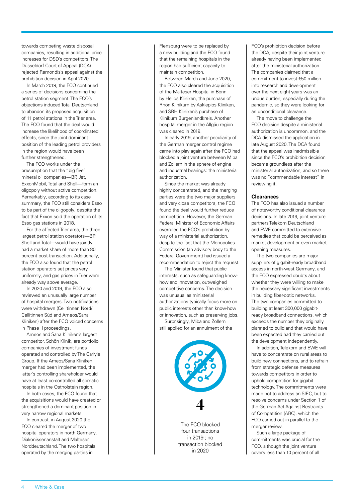towards competing waste disposal companies, resulting in additional price increases for DSD's competitors. The Düsseldorf Court of Appeal (DCA) rejected Remondis's appeal against the prohibition decision in April 2020.

In March 2019, the FCO continued a series of decisions concerning the petrol station segment. The FCO's objections induced Total Deutschland to abandon its proposed acquisition of 11 petrol stations in the Trier area. The FCO found that the deal would increase the likelihood of coordinated effects, since the joint dominant position of the leading petrol providers in the region would have been further strengthened.

The FCO works under the presumption that the "big five" mineral oil companies—BP, Jet, ExxonMobil, Total and Shell—form an oligopoly without active competition. Remarkably, according to its case summary, the FCO still considers Esso to be part of the oligopoly, despite the fact that Exxon sold the operation of its Esso gas stations in 2018.

For the affected Trier area, the three largest petrol station operators—BP, Shell and Total—would have jointly had a market share of more than 80 percent post-transaction. Additionally, the FCO also found that the petrol station operators set prices very uniformly, and gas prices in Trier were already way above average.

In 2020 and 2019, the FCO also reviewed an unusually large number of hospital mergers. Two notifications were withdrawn (Cellitinnen Nord/ Cellitinnen Süd and Ameos/Sana Kliniken) after the FCO voiced concerns in Phase II proceedings.

Ameos and Sana Kliniken's largest competitor, Schön Klinik, are portfolio companies of investment funds operated and controlled by The Carlyle Group. If the Ameos/Sana Kliniken merger had been implemented, the latter's controlling shareholder would have at least co-controlled all somatic hospitals in the Ostholstein region.

In both cases, the FCO found that the acquisitions would have created or strengthened a dominant position in very narrow regional markets.

In contrast, in August 2020 the FCO cleared the merger of two hospital operators in north Germany, Diakonissenanstalt and Malteser Norddeutschland. The two hospitals operated by the merging parties in

Flensburg were to be replaced by a new building and the FCO found that the remaining hospitals in the region had sufficient capacity to maintain competition.

Between March and June 2020, the FCO also cleared the acquisition of the Malteser Hospital in Bonn by Helios Kliniken, the purchase of Rhön Klinikum by Asklepios Kliniken, and SRH Kliniken's purchase of Klinikum Burgenlandkreis. Another hospital merger in the Allgäu region was cleared in 2019.

In early 2019, another peculiarity of the German merger control regime came into play again after the FCO had blocked a joint venture between Miba and Zollern in the sphere of engine and industrial bearings: the ministerial authorization.

Since the market was already highly concentrated, and the merging parties were the two major suppliers and very close competitors, the FCO found the deal would further reduce competition. However, the German Federal Minister of Economic Affairs overruled the FCO's prohibition by way of a ministerial authorization, despite the fact that the Monopolies Commission (an advisory body to the Federal Government) had issued a recommendation to reject the request.

The Minister found that public interests, such as safeguarding knowhow and innovation, outweighed competitive concerns. The decision was unusual as ministerial authorizations typically focus more on public interests other than know-how or innovation, such as preserving jobs.

Surprisingly, Miba and Zollern still applied for an annulment of the



The FCO blocked four transactions in  $2019 \cdot$  no transaction blocked in 2020

FCO's prohibition decision before the DCA, despite their joint venture already having been implemented after the ministerial authorization. The companies claimed that a commitment to invest €50 million into research and development over the next eight years was an undue burden, especially during the pandemic, so they were looking for an unconditional clearance.

The move to challenge the FCO decision despite a ministerial authorization is uncommon, and the DCA dismissed the application in late August 2020. The DCA found that the appeal was inadmissible since the FCO's prohibition decision became groundless after the ministerial authorization, and so there was no "commendable interest" in reviewing it.

### **Clearances**

The FCO has also issued a number of noteworthy conditional clearance decisions. In late 2019, joint venture partners Telekom Deutschland and EWE committed to extensive remedies that could be perceived as market development or even market opening measures.

The two companies are major suppliers of gigabit-ready broadband access in north-west Germany, and the FCO expressed doubts about whether they were willing to make the necessary significant investments in building fiber-optic networks. The two companies committed to building at least 300,000 gigabitready broadband connections, which exceeds the number they originally planned to build and that would have been expected had they carried out the development independently.

In addition, Telekom and EWE will have to concentrate on rural areas to build new connections, and to refrain from strategic defense measures towards competitors in order to uphold competition for gigabit technology. The commitments were made not to address an SIEC, but to resolve concerns under Section 1 of the German Act Against Restraints of Competition (ARC), which the FCO carried out in parallel to the merger review.

Such a large package of commitments was crucial for the FCO, although the joint venture covers less than 10 percent of all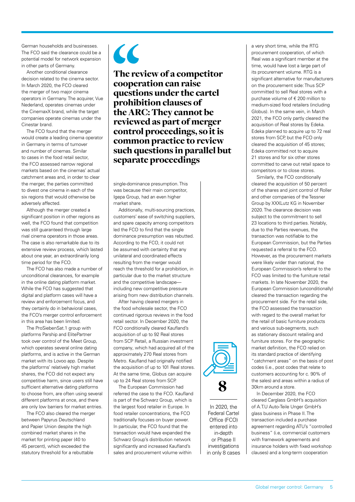German households and businesses. The FCO said the clearance could be a potential model for network expansion in other parts of Germany.

Another conditional clearance decision related to the cinema sector. In March 2020, the FCO cleared the merger of two major cinema operators in Germany. The acquirer, Vue Nederland, operates cinemas under the CinemaxX brand, while the target companies operate cinemas under the Cinestar brand.

The FCO found that the merger would create a leading cinema operator in Germany in terms of turnover and number of cinemas. Similar to cases in the food retail sector, the FCO assessed narrow regional markets based on the cinemas' actual catchment areas and, in order to clear the merger, the parties committed to divest one cinema in each of the six regions that would otherwise be adversely affected.

Although the merger created a significant position in other regions as well, the FCO found that competition was still guaranteed through large rival cinema operators in those areas. The case is also remarkable due to its extensive review process, which lasted about one year, an extraordinarily long time period for the FCO.

The FCO has also made a number of unconditional clearances, for example in the online dating platform market. While the FCO has suggested that digital and platform cases will have a review and enforcement focus, and they certainly do in behavioral cases, the FCO's merger control enforcement in this area has been limited.

The ProSiebenSat.1 group with platforms Parship and ElitePartner took over control of the Meet Group, which operates several online dating platforms, and is active in the German market with its Lovoo app. Despite the platforms' relatively high market shares, the FCO did not expect any competitive harm, since users still have sufficient alternative dating platforms to choose from, are often using several different platforms at once, and there are only low barriers for market entries.

The FCO also cleared the merger between Papyrus Deutschland and Papier Union despite the high combined market shares in the market for printing paper (40 to 45 percent), which exceeded the statutory threshold for a rebuttable



The review of a competitor cooperation can raise questions under the cartel prohibition clauses of the ARC: They cannot be reviewed as part of merger control proceedings, so it is common practice to review such questions in parallel but separate proceedings

single-dominance presumption. This was because their main competitor, Igepa Group, had an even higher market share.

Additionally, multi-sourcing practices, customers' ease of switching suppliers, and spare capacity among competitors led the FCO to find that the single dominance presumption was rebutted. According to the FCO, it could not be assumed with certainty that any unilateral and coordinated effects resulting from the merger would reach the threshold for a prohibition, in particular due to the market structure and the competitive landscape including new competitive pressure arising from new distribution channels.

After having cleared mergers in the food wholesale sector, the FCO continued rigorous reviews in the food retail sector. In December 2020, the FCO conditionally cleared Kaufland's acquisition of up to 92 Real stores from SCP Retail, a Russian investment company, which had acquired all of the approximately 270 Real stores from Metro. Kaufland had originally notified the acquisition of up to 101 Real stores. At the same time, Globus can acquire up to 24 Real stores from SCP.

The European Commission had referred the case to the FCO. Kaufland is part of the Schwarz Group, which is the largest food retailer in Europe. In food retailer concentrations, the FCO traditionally focuses on buyer power. In particular, the FCO found that the transaction would have expanded the Schwarz Group's distribution network significantly and increased Kaufland's sales and procurement volume within

a very short time, while the RTG procurement cooperation, of which Real was a significant member at the time, would have lost a large part of its procurement volume. RTG is a significant alternative for manufacturers on the procurement side: Thus SCP committed to sell Real stores with a purchase volume of € 200 million to medium-sized food retailers (including Globus). In the same vein, in March 2021, the FCO only partly cleared the acquisition of Real stores by Edeka. Edeka planned to acquire up to 72 real stores from SCP, but the FCO only cleared the acquisition of 45 stores; Edeka committed not to acquire 21 stores and for six other stores committed to carve out retail space to competitors or to close stores.

Similarly, the FCO conditionally cleared the acquisition of 50 percent of the shares and joint control of Roller and other companies of the Tessner Group by XXXLutz KG in November 2020. The clearance decision was subject to the commitment to sell 23 locations to third parties. Notably, due to the Parties revenues, the transaction was notifiable to the European Commission, but the Parties requested a referral to the FCO. However, as the procurement markets were likely wider than national, the European Commission's referral to the FCO was limited to the furniture retail markets. In late November 2020, the European Commission (unconditionally) cleared the transaction regarding the procurement side. For the retail side, the FCO assessed the transaction with regard to the overall market for the retail of basic furniture products and various sub-segments, such as stationary discount retailing and furniture stores. For the geographic market definition, the FCO relied on its standard practice of identifying "catchment areas" on the basis of post codes (i.e., post codes that relate to customers accounting for c. 90% of the sales) and areas within a radius of 30km around a store.

In December 2020, the FCO cleared Carglass GmbH's acquisition of A.T.U Auto-Teile Unger GmbH's glass business in Phase II. The transaction included a purchase agreement regarding ATU's "controlled business" (i.e, commercial customers with framework agreements and insurance holders with fixed workshop clauses) and a long-term cooperation



In 2020, the Federal Cartel Office (FCO) entered into in-depth or Phase II investigations in only 8 cases

Global merger control: Germany 5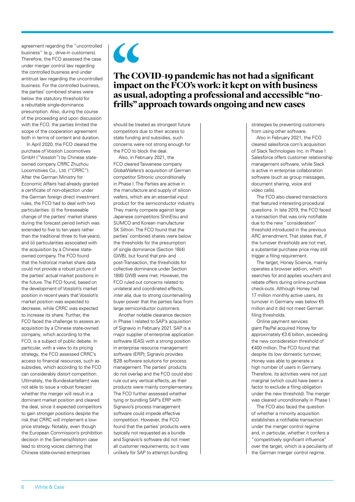agreement regarding the "uncontrolled business" (e.g., drive-in customers). Therefore, the FCO assessed the case under merger control law regarding the controlled business and under antitrust law regarding the uncontrolled business. For the controlled business, the parties' combined shares were below the statutory threshold for a rebuttable single-dominance presumption. Also, during the course of the proceeding and upon discussion with the FCO, the parties limited the scope of the cooperation agreement both in terms of content and duration.

In April 2020, the FCO cleared the purchase of Vossloh Locomotives GmbH ("Vossloh") by Chinese stateowned company CRRC Zhuzhou Locomotives Co., Ltd. ("CRRC"). After the German Ministry for Economic Affairs had already granted a certificate of non-objection under the German foreign direct investment rules, the FCO had to deal with two particularities: (i) the foreseeable change of the parties' market shares during the forecast period (which was extended to five to ten years rather than the traditional three to five years), and (ii) particularities associated with the acquisition by a Chinese stateowned company. The FCO found that the historical market share data could not provide a robust picture of the parties' actual market positions in the future. The FCO found, based on the development of Vossloh's market position in recent years that Vossloh's market position was expected to decrease, while CRRC was expected to increase its share. Further, the FCO faced the challenge to assess an acquisition by a Chinese state-owned company, which according to the FCO, is a subject of public debate. In particular, with a view to its pricing strategy, the FCO assessed CRRC's access to financial resources, such as subsidies, which according to the FCO can considerably distort competition. Ultimately, the Bundeskartellamt was not able to issue a robust forecast whether the merger will result in a dominant market position and cleared the deal, since it expected competitors to gain stronger positions despite the risk that CRRC will implement a lowprice strategy. Notably, even though the European Commission's prohibition decision in the Siemens/Alstom case lead to strong voices claiming that Chinese state-owned enterprises



### The COVID-19 pandemic has not had a significant impact on the FCO's work: it kept on with business as usual, adopting a professional and accessible "nofrills" approach towards ongoing and new cases

should be treated as strongest future competitors due to their access to state funding and subsidies, such concerns were not strong enough for the FCO to block the deal.

Also, in February 2021, the FCO cleared Taiwanese company GlobalWafers's acquisition of German competitor Siltronic unconditionally in Phase I. The Parties are active in the manufacture and supply of silicon wafers, which are an essential input product for the semiconductor industry. They mainly compete against large Japanese competitors ShinEtsu and SUMCO and Korean manufacturer SK Siltron. The FCO found that the parties' combined shares were below the thresholds for the presumption of single dominance (Section 18(4) GWB), but found that pre- and post-Transaction, the thresholds for collective dominance under Section 18(6) GWB were met. However, the FCO ruled out concerns related to unilateral and coordinated effects, *inter alia*, due to strong countervailing buyer power that the parties face from large semiconductor customers.

Another notable clearance decision in Phase I related to SAP's acquisition of Signavio in February 2021. SAP is a major supplier of enterprise application software (EAS) with a strong position in enterprise resource management software (ERP); Signavio provides B2B software solutions for process management. The parties' products do not overlap and the FCO could also rule out any vertical effects, as their products were mainly complementary. The FCO further assessed whether tying or bundling SAP's ERP with Signavio's process management software could impede effective competition. However, the FCO found that the parties' products were typically not requested as a bundle and Signavio's software did not meet all customer requirements, so it was unlikely for SAP to attempt bundling

strategies by preventing customers from using other software.

Also in February 2021, the FCO cleared salesforce.com's acquisition of Slack Technologies Inc. in Phase I. Salesforce offers customer relationship management software, while Slack is active in enterprise collaboration software (such as group messages, document sharing, voice and video calls).

The FCO also cleared transactions that featured interesting procedural questions. In late 2019, the FCO faced a transaction that was only notifiable due to the new "consideration" threshold introduced in the previous ARC amendment. That states that, if the turnover thresholds are not met, a substantial purchase price may still trigger a filing requirement.

The target, Honey Science, mainly operates a browser add-on, which searches for and applies vouchers and rebate offers during online purchase check-outs. Although Honey had 17 million monthly active users, its turnover in Germany was below €5 million and it did not meet German filing thresholds.

Online payment services giant PayPal acquired Honey for approximately €3.6 billion, exceeding the new consideration threshold of €400 million. The FCO found that despite its low domestic turnover, Honey was able to generate a high number of users in Germany. Therefore, its activities were not just marginal (which could have been a factor to exclude a filing obligation under the new threshold). The merger was cleared unconditionally in Phase I.

The FCO also faced the question of whether a minority acquisition establishes a notifiable transaction under the merger control regime and, in particular, whether it confers a "competitively significant influence" over the target, which is a peculiarity of the German merger control regime.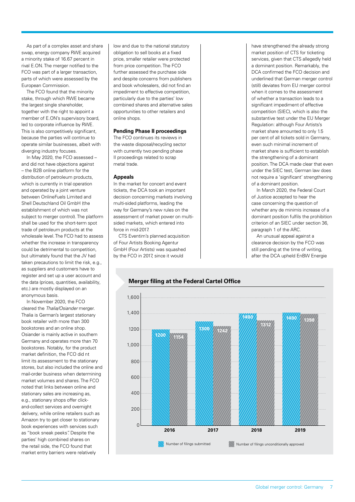As part of a complex asset and share swap, energy company RWE acquired a minority stake of 16.67 percent in rival E.ON. The merger notified to the FCO was part of a larger transaction. parts of which were assessed by the European Commission.

The FCO found that the minority stake, through which RWE became the largest single shareholder, together with the right to appoint a member of E.ON's supervisory board, led to corporate influence by RWE. This is also competitively significant, because the parties will continue to operate similar businesses, albeit with diverging industry focuses.

In May 2020, the FCO assessed – and did not have objections against – the B2B online platform for the distribution of petroleum products, which is currently in trial operation and operated by a joint venture between OnlineFuels Limited and Shell Deutschland Oil GmbH (the establishment of which was not subject to merger control). The platform shall be used for the short-term spot trade of petroleum products at the wholesale level. The FCO had to assess whether the increase in transparency could be detrimental to competition, but ultimately found that the JV had taken precautions to limit the risk, e.g., as suppliers and customers have to register and set up a user account and the data (prices, quantities, availability, etc.) are mostly displayed on an anonymous basis.

In November 2020, the FCO cleared the *Thalia/Osiander* merger. Thalia is German's largest stationary book retailer with more than 300 bookstores and an online shop. Osiander is mainly active in southern Germany and operates more than 70 bookstores. Notably, for the product market definition, the FCO did nt limit its assessment to the stationary stores, but also included the online and mail-order business when determining market volumes and shares. The FCO noted that links between online and stationary sales are increasing as, e.g., stationary shops offer clickand-collect services and overnight delivery, while online retailers such as Amazon try to get closer to stationary book experiences with services such as "book sneak peeks". Despite the parties' high combined shares on the retail side, the FCO found that market entry barriers were relatively

low and due to the national statutory obligation to sell books at a fixed price, smaller retailer were protected from price competition. The FCO further assessed the purchase side and despite concerns from publishers and book wholesalers, did not find an impediment to effective competition, particularly due to the parties' low combined shares and alternative sales opportunities to other retailers and online shops.

### **Pending Phase II proceedings**

The FCO continues its reviews in the waste disposal/recycling sector with currently two pending phase II proceedings related to scrap metal trade.

### **Appeals**

In the market for concert and event tickets, the DCA took an important decision concerning markets involving multi-sided platforms, leading the way for Germany's new rules on the assessment of market power on multisided markets, which entered into force in mid-2017.

CTS Eventim's planned acquisition of Four Artists Booking Agentur GmbH (Four Artists) was squashed by the FCO in 2017, since it would

have strengthened the already strong market position of CTS for ticketing services, given that CTS allegedly held a dominant position. Remarkably, the DCA confirmed the FCO decision and underlined that German merger control (still) deviates from EU merger control when it comes to the assessment of whether a transaction leads to a significant impediment of effective competition (SIEC), which is also the substantive test under the EU Merger Regulation: although Four Artists's market share amounted to only 1.5 per cent of all tickets sold in Germany even such minimal increment of market share is sufficient to establish the strengthening of a dominant position. The DCA made clear that even under the SIEC test, German law does not require a 'significant' strengthening of a dominant position.

In March 2020, the Federal Court of Justice accepted to hear the case concerning the question of whether any de minimis increase of a dominant position fulfils the prohibition criterion of an SIEC under section 36, paragraph 1 of the ARC.

An unusual appeal against a clearance decision by the FCO was still pending at the time of writing, after the DCA upheld EnBW Energie

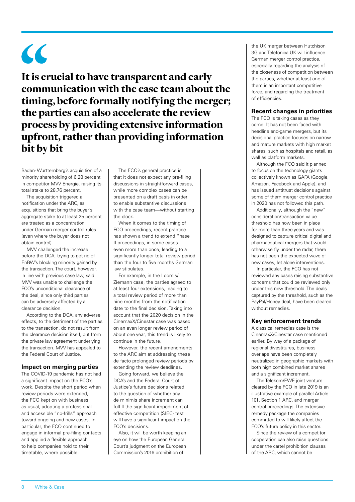# $\overline{\mathcal{L}}$

It is crucial to have transparent and early communication with the case team about the timing, before formally notifying the merger; the parties can also accelerate the review process by providing extensive information upfront, rather than providing information bit by bit

Baden- Wurttemberg's acquisition of a minority shareholding of 6.28 percent in competitor MVV Energie, raising its total stake to 28.76 percent.

The acquisition triggered a notification under the ARC, as acquisitions that bring the buyer's aggregate stake to at least 25 percent are treated as a concentration under German merger control rules (even where the buyer does not obtain control).

MVV challenged the increase before the DCA, trying to get rid of EnBW's blocking minority gained by the transaction. The court, however, in line with previous case law, said MVV was unable to challenge the FCO's unconditional clearance of the deal, since only third parties can be adversely affected by a clearance decision.

According to the DCA, any adverse effects, to the detriment of the parties to the transaction, do not result from the clearance decision itself, but from the private law agreement underlying the transaction. MVV has appealed to the Federal Court of Justice.

### **Impact on merging parties**

The COVID-19 pandemic has not had a significant impact on the FCO's work. Despite the short period when review periods were extended, the FCO kept on with business as usual, adopting a professional and accessible "no-frills" approach toward ongoing and new cases. In particular, the FCO continued to engage in informal pre-filing contacts and applied a flexible approach to help companies hold to their timetable, where possible.

The FCO's general practice is that it does not expect any pre-filing discussions in straightforward cases, while more complex cases can be presented on a draft basis in order to enable substantive discussions with the case team—without starting the clock.

When it comes to the timing of FCO proceedings, recent practice has shown a trend to extend Phase II proceedings, in some cases even more than once, leading to a significantly longer total review period than the four to five months German law stipulates.

For example, in the Loomis/ Ziemann case, the parties agreed to at least four extensions, leading to a total review period of more than nine months from the notification date to the final decision. Taking into account that the 2020 decision in the CinemaxX/Cinestar case was based on an even longer review period of about one year, this trend is likely to continue in the future.

However, the recent amendments to the ARC aim at addressing these de facto prolonged review periods by extending the review deadlines.

Going forward, we believe the DCA's and the Federal Court of Justice's future decisions related to the question of whether any de minimis share increment can fulfill the significant impediment of effective competition (SIEC) test will have a significant impact on the FCO's decisions.

Also, it will be worth keeping an eye on how the European General Court's judgment on the European Commission's 2016 prohibition of

the UK merger between Hutchison 3G and Telefonica UK will influence German merger control practice, especially regarding the analysis of the closeness of competition between the parties, whether at least one of them is an important competitive force, and regarding the treatment of efficiencies.

### **Recent changes in priorities**

The FCO is taking cases as they come. It has not been faced with headline end-game mergers, but its decisional practice focuses on narrow and mature markets with high market shares, such as hospitals and retail, as well as platform markets.

Although the FCO said it planned to focus on the technology giants collectively known as GAFA (Google, Amazon, Facebook and Apple), and has issued antitrust decisions against some of them merger control practice in 2020 has not followed this path.

Additionally, although the "new" consideration/transaction value threshold has now been in place for more than three years and was designed to capture critical digital and pharmaceutical mergers that would otherwise fly under the radar, there has not been the expected wave of new cases, let alone interventions.

In particular, the FCO has not reviewed any cases raising substantive concerns that could be reviewed only under this new threshold. The deals captured by the threshold, such as the PayPal/Honey deal, have been cleared without remedies.

### **Key enforcement trends**

A classical remedies case is the CinemaxX/Cinestar case mentioned earlier. By way of a package of regional divestitures, business overlaps have been completely neutralized in geographic markets with both high combined market shares and a significant increment.

The Telekom/EWE joint venture cleared by the FCO in late 2019 is an illustrative example of parallel Article 101, Section 1 ARC, and merger control proceedings. The extensive remedy package the companies committed to will likely affect the FCO's future policy in this sector.

Since the review of a competitor cooperation can also raise questions under the cartel prohibition clauses of the ARC, which cannot be